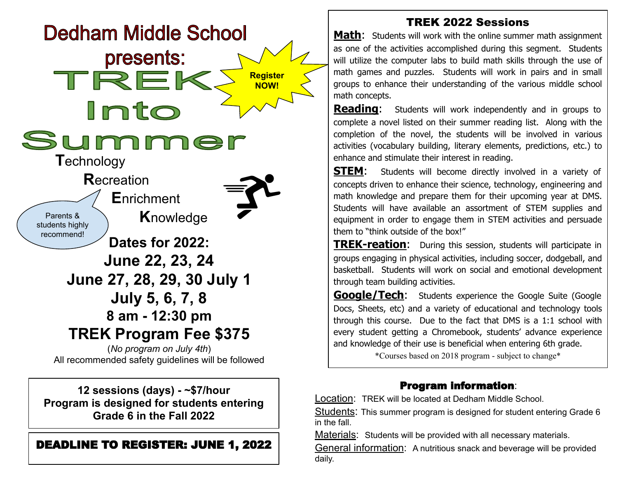

All recommended safety guidelines will be followed

**12 sessions (days) - ~\$7/hour Program is designed for students entering Grade 6 in the Fall 2022**

## DEADLINE TO REGISTER: JUNE 1, 2022

## TREK 2022 Sessions

**Math:** Students will work with the online summer math assignment as one of the activities accomplished during this segment. Students will utilize the computer labs to build math skills through the use of math games and puzzles. Students will work in pairs and in small groups to enhance their understanding of the various middle school math concepts.

**Reading:** Students will work independently and in groups to complete a novel listed on their summer reading list. Along with the completion of the novel, the students will be involved in various activities (vocabulary building, literary elements, predictions, etc.) to enhance and stimulate their interest in reading.

**STEM:** Students will become directly involved in a variety of concepts driven to enhance their science, technology, engineering and math knowledge and prepare them for their upcoming year at DMS. Students will have available an assortment of STEM supplies and equipment in order to engage them in STEM activities and persuade them to "think outside of the box!"

**TREK-reation:** During this session, students will participate in groups engaging in physical activities, including soccer, dodgeball, and basketball. Students will work on social and emotional development through team building activities.

**Google/Tech:** Students experience the Google Suite (Google Docs, Sheets, etc) and a variety of educational and technology tools through this course. Due to the fact that DMS is a 1:1 school with every student getting a Chromebook, students' advance experience and knowledge of their use is beneficial when entering 6th grade.

\*Courses based on 2018 program - subject to change\*

## Program information:

Location: TREK will be located at Dedham Middle School.

Students: This summer program is designed for student entering Grade 6 in the fall.

Materials: Students will be provided with all necessary materials.

General information: A nutritious snack and beverage will be provided daily.